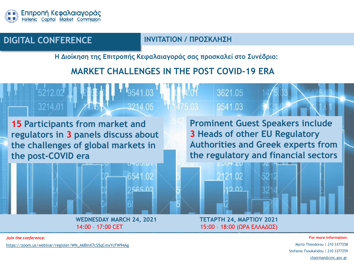

### **DIGITAL CONFERENCE INVITATION / ΠΡΟΣΚΛΗΣΗ**

**Η Διοίκηση της Επιτροπής Κεφαλαιαγοράς σας προσκαλεί στο Συνέδριο:**

## **MARKET CHALLENGES IN THE POST COVID-19 ERA**



*Join the conference:*

[https://zoom.us/webinar/register/WN\\_A6BInX7cS5qCmxYcFW94Ag](https://zoom.us/webinar/register/WN_A6BInX7cS5qCmxYcFW94Ag)

**For more information:** Myrto Theodorou | 210 3377258 Stefania Tsoukalidou | 210 3377259 [chairman@cmc.gov.gr](mailto:chairman@cmc.gov.gr)